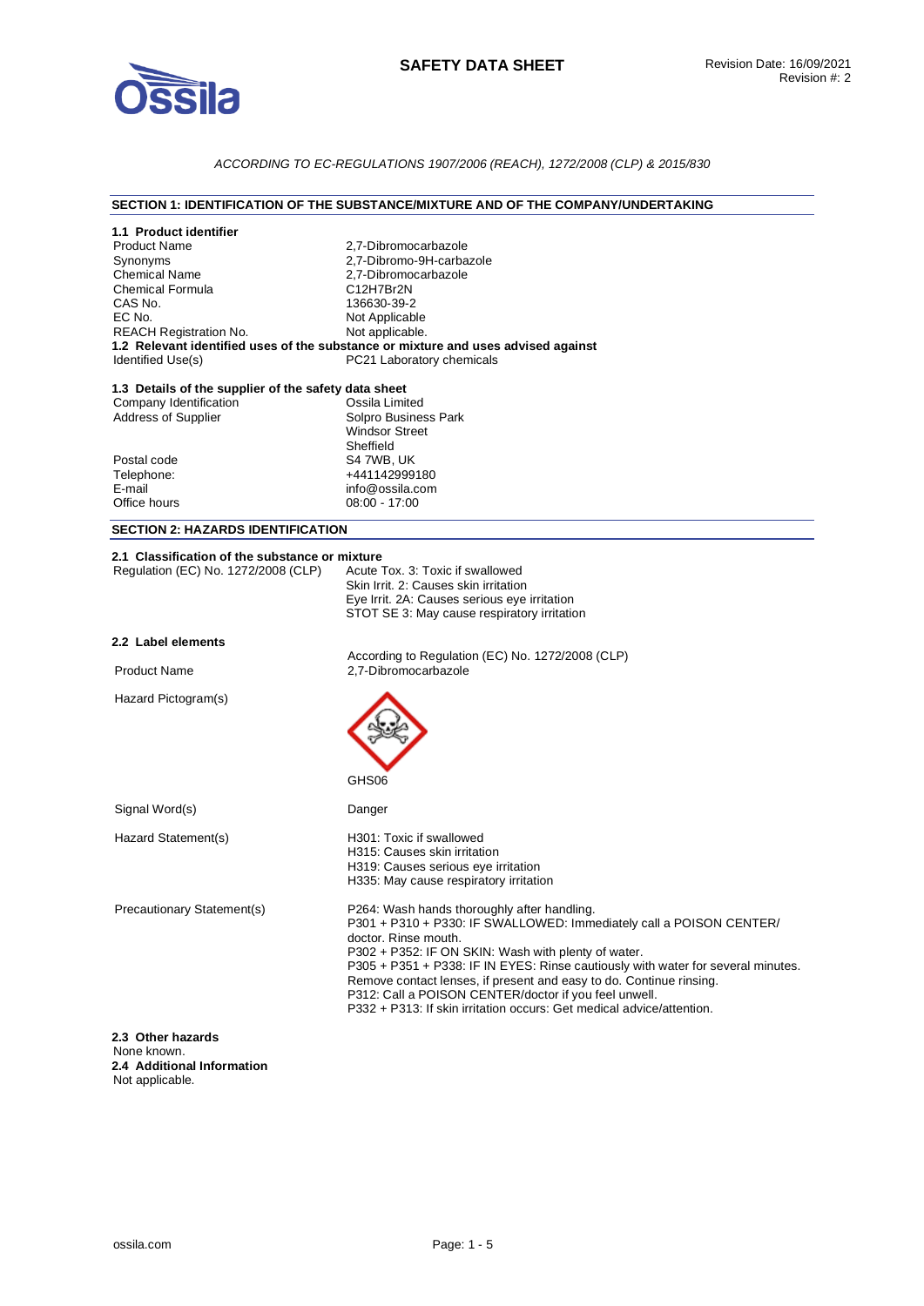

## *ACCORDING TO EC-REGULATIONS 1907/2006 (REACH), 1272/2008 (CLP) & 2015/830*

### **SECTION 1: IDENTIFICATION OF THE SUBSTANCE/MIXTURE AND OF THE COMPANY/UNDERTAKING**

| 1.1 Product identifier                               |                                                                                             |  |  |
|------------------------------------------------------|---------------------------------------------------------------------------------------------|--|--|
| <b>Product Name</b>                                  | 2,7-Dibromocarbazole                                                                        |  |  |
| Synonyms                                             | 2,7-Dibromo-9H-carbazole                                                                    |  |  |
| <b>Chemical Name</b>                                 | 2,7-Dibromocarbazole                                                                        |  |  |
| <b>Chemical Formula</b>                              | C12H7Br2N                                                                                   |  |  |
| CAS No.<br>EC No.                                    | 136630-39-2                                                                                 |  |  |
| <b>REACH Registration No.</b>                        | Not Applicable<br>Not applicable.                                                           |  |  |
|                                                      | 1.2 Relevant identified uses of the substance or mixture and uses advised against           |  |  |
| Identified Use(s)                                    | PC21 Laboratory chemicals                                                                   |  |  |
| 1.3 Details of the supplier of the safety data sheet |                                                                                             |  |  |
| Company Identification                               | Ossila Limited                                                                              |  |  |
| <b>Address of Supplier</b>                           | Solpro Business Park                                                                        |  |  |
|                                                      | <b>Windsor Street</b>                                                                       |  |  |
|                                                      | Sheffield                                                                                   |  |  |
| Postal code<br>Telephone:                            | S4 7WB, UK<br>+441142999180                                                                 |  |  |
| E-mail                                               | info@ossila.com                                                                             |  |  |
| Office hours                                         | $08:00 - 17:00$                                                                             |  |  |
|                                                      |                                                                                             |  |  |
| <b>SECTION 2: HAZARDS IDENTIFICATION</b>             |                                                                                             |  |  |
| 2.1 Classification of the substance or mixture       |                                                                                             |  |  |
| Regulation (EC) No. 1272/2008 (CLP)                  | Acute Tox. 3: Toxic if swallowed                                                            |  |  |
|                                                      | Skin Irrit, 2: Causes skin irritation                                                       |  |  |
|                                                      | Eye Irrit. 2A: Causes serious eye irritation                                                |  |  |
|                                                      | STOT SE 3: May cause respiratory irritation                                                 |  |  |
| 2.2 Label elements                                   |                                                                                             |  |  |
|                                                      | According to Regulation (EC) No. 1272/2008 (CLP)                                            |  |  |
| <b>Product Name</b>                                  | 2.7-Dibromocarbazole                                                                        |  |  |
| Hazard Pictogram(s)                                  |                                                                                             |  |  |
|                                                      |                                                                                             |  |  |
|                                                      |                                                                                             |  |  |
|                                                      |                                                                                             |  |  |
|                                                      |                                                                                             |  |  |
|                                                      | GHS06                                                                                       |  |  |
|                                                      |                                                                                             |  |  |
| Signal Word(s)                                       | Danger                                                                                      |  |  |
| Hazard Statement(s)                                  | H301: Toxic if swallowed                                                                    |  |  |
|                                                      | H315: Causes skin irritation                                                                |  |  |
|                                                      | H319: Causes serious eye irritation                                                         |  |  |
|                                                      | H335: May cause respiratory irritation                                                      |  |  |
|                                                      |                                                                                             |  |  |
| Precautionary Statement(s)                           | P264: Wash hands thoroughly after handling.                                                 |  |  |
|                                                      | P301 + P310 + P330: IF SWALLOWED: Immediately call a POISON CENTER/<br>doctor. Rinse mouth. |  |  |
|                                                      | P302 + P352: IF ON SKIN: Wash with plenty of water.                                         |  |  |
|                                                      | P305 + P351 + P338: IF IN EYES: Rinse cautiously with water for several minutes.            |  |  |
|                                                      | Remove contact lenses, if present and easy to do. Continue rinsing.                         |  |  |
|                                                      | P312: Call a POISON CENTER/doctor if you feel unwell.                                       |  |  |
|                                                      | P332 + P313: If skin irritation occurs: Get medical advice/attention.                       |  |  |
|                                                      |                                                                                             |  |  |
| 2.3 Other hazards<br>None known.                     |                                                                                             |  |  |
| 2.4 Additional Information                           |                                                                                             |  |  |
| Not applicable.                                      |                                                                                             |  |  |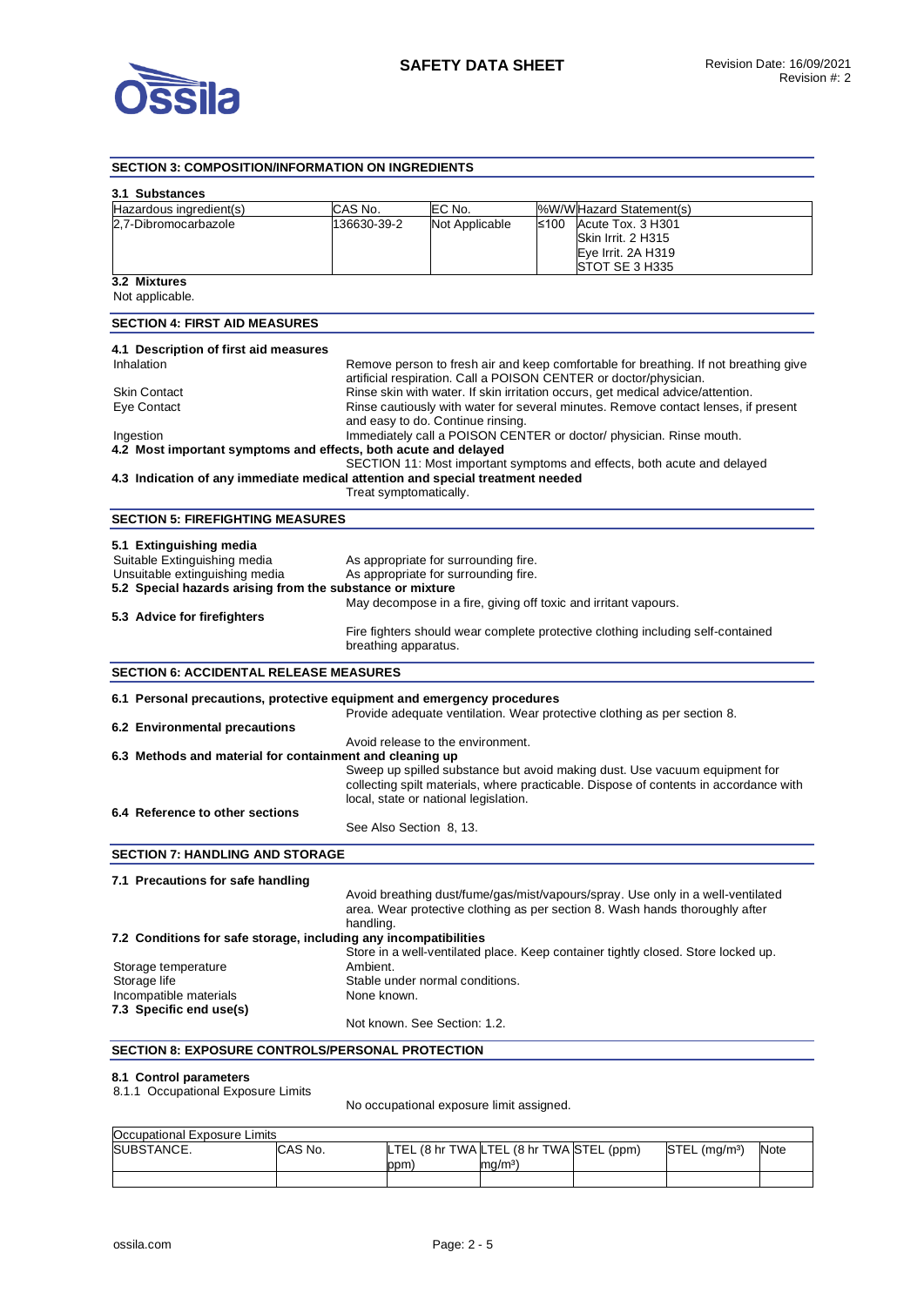

#### **SECTION 3: COMPOSITION/INFORMATION ON INGREDIENTS 3.1 Substances**  Hazardous ingredient(s) CAS No. CONDIEC No. Noting WWW Hazard Statement(s) 2,7-Dibromocarbazole 136630-39-2 Not Applicable ≤100 Acute Tox. 3 H301 Skin Irrit. 2 H315 Eye Irrit. 2A H319 STOT SE 3 H335 **3.2 Mixtures**  Not applicable. **SECTION 4: FIRST AID MEASURES 4.1 Description of first aid measures**  Inhalation **Remove person to fresh air and keep comfortable for breathing. If not breathing give** artificial respiration. Call a POISON CENTER or doctor/physician. Skin Contact **Rinse skin with water. If skin irritation occurs**, get medical advice/attention. Eye Contact Rinse cautiously with water for several minutes. Remove contact lenses, if present and easy to do. Continue rinsing. Ingestion Immediately call a POISON CENTER or doctor/ physician. Rinse mouth. **4.2 Most important symptoms and effects, both acute and delayed**  SECTION 11: Most important symptoms and effects, both acute and delayed **4.3 Indication of any immediate medical attention and special treatment needed**  Treat symptomatically. **SECTION 5: FIREFIGHTING MEASURES 5.1 Extinguishing media**  Suitable Extinguishing media As appropriate for surrounding fire. Unsuitable extinguishing media As appropriate for surrounding fire. **5.2 Special hazards arising from the substance or mixture**  May decompose in a fire, giving off toxic and irritant vapours. **5.3 Advice for firefighters**  Fire fighters should wear complete protective clothing including self-contained breathing apparatus. **SECTION 6: ACCIDENTAL RELEASE MEASURES 6.1 Personal precautions, protective equipment and emergency procedures**  Provide adequate ventilation. Wear protective clothing as per section 8. **6.2 Environmental precautions**  Avoid release to the environment. **6.3 Methods and material for containment and cleaning up**  Sweep up spilled substance but avoid making dust. Use vacuum equipment for collecting spilt materials, where practicable. Dispose of contents in accordance with local, state or national legislation. **6.4 Reference to other sections**  See Also Section 8, 13. **SECTION 7: HANDLING AND STORAGE 7.1 Precautions for safe handling**  Avoid breathing dust/fume/gas/mist/vapours/spray. Use only in a well-ventilated area. Wear protective clothing as per section 8. Wash hands thoroughly after handling. **7.2 Conditions for safe storage, including any incompatibilities**  Store in a well-ventilated place. Keep container tightly closed. Store locked up. Storage temperature **Ambient.** Storage life Storage life Stable under normal conditions. Incompatible materials None known. **7.3 Specific end use(s)**  Not known. See Section: 1.2. **SECTION 8: EXPOSURE CONTROLS/PERSONAL PROTECTION**

#### **8.1 Control parameters**

8.1.1 Occupational Exposure Limits

No occupational exposure limit assigned.

| Occupational Exposure Limits |         |                                          |                   |                           |             |
|------------------------------|---------|------------------------------------------|-------------------|---------------------------|-------------|
| SUBSTANCE.                   | CAS No. | LTEL (8 hr TWA LTEL (8 hr TWA STEL (ppm) |                   | STEL (ma/m <sup>3</sup> ) | <b>Note</b> |
|                              |         | ppm                                      | ma/m <sup>3</sup> |                           |             |
|                              |         |                                          |                   |                           |             |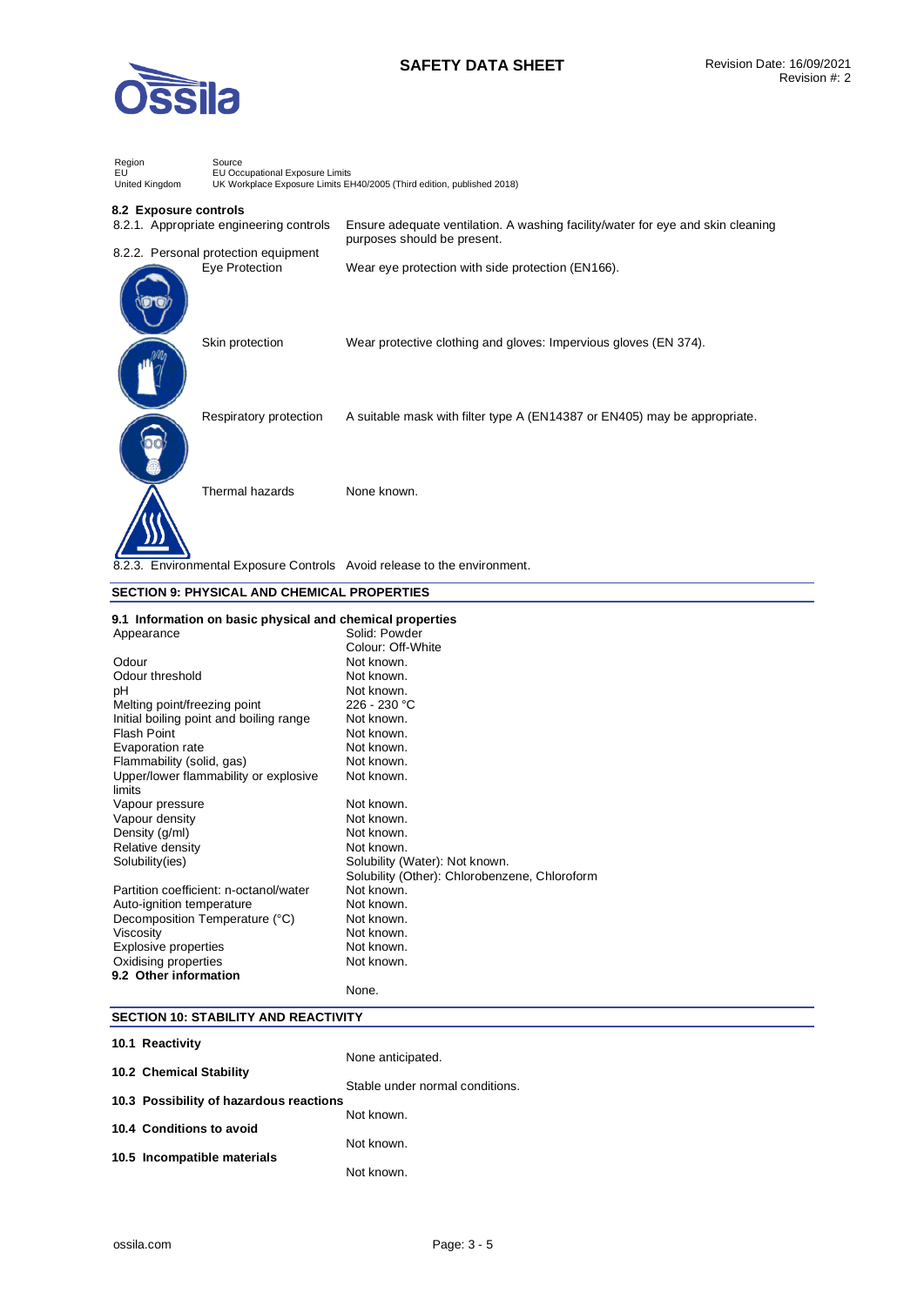

# **SAFETY DATA SHEET** Revision Date: 16/09/2021

| Region<br>EU<br>United Kingdom       | Source<br>EU Occupational Exposure Limits<br>UK Workplace Exposure Limits EH40/2005 (Third edition, published 2018) |                                                                                 |  |
|--------------------------------------|---------------------------------------------------------------------------------------------------------------------|---------------------------------------------------------------------------------|--|
| 8.2 Exposure controls                | 8.2.1. Appropriate engineering controls                                                                             | Ensure adequate ventilation. A washing facility/water for eye and skin cleaning |  |
| 8.2.2. Personal protection equipment |                                                                                                                     | purposes should be present.                                                     |  |
|                                      | Eye Protection                                                                                                      | Wear eye protection with side protection (EN166).                               |  |
|                                      | Skin protection                                                                                                     | Wear protective clothing and gloves: Impervious gloves (EN 374).                |  |
|                                      | Respiratory protection                                                                                              | A suitable mask with filter type A (EN14387 or EN405) may be appropriate.       |  |
|                                      | Thermal hazards                                                                                                     | None known.                                                                     |  |
|                                      |                                                                                                                     | 8.2.3. Environmental Exposure Controls Avoid release to the environment.        |  |

## **SECTION 9: PHYSICAL AND CHEMICAL PROPERTIES**

#### **9.1 Information on basic physical and chemical properties**

| Appearance                              | Solid: Powder                                 |
|-----------------------------------------|-----------------------------------------------|
|                                         | Colour: Off-White                             |
| Odour                                   | Not known.                                    |
| Odour threshold                         | Not known.                                    |
| рH                                      | Not known.                                    |
| Melting point/freezing point            | 226 - 230 °C                                  |
| Initial boiling point and boiling range | Not known.                                    |
| Flash Point                             | Not known.                                    |
| Evaporation rate                        | Not known.                                    |
| Flammability (solid, gas)               | Not known.                                    |
| Upper/lower flammability or explosive   | Not known.                                    |
| limits                                  |                                               |
| Vapour pressure                         | Not known.                                    |
| Vapour density                          | Not known.                                    |
| Density (g/ml)                          | Not known.                                    |
| Relative density                        | Not known.                                    |
| Solubility(ies)                         | Solubility (Water): Not known.                |
|                                         | Solubility (Other): Chlorobenzene, Chloroform |
| Partition coefficient: n-octanol/water  | Not known.                                    |
| Auto-ignition temperature               | Not known.                                    |
| Decomposition Temperature (°C)          | Not known.                                    |
| Viscosity                               | Not known.                                    |
| Explosive properties                    | Not known.                                    |
| Oxidising properties                    | Not known.                                    |
| 9.2 Other information                   |                                               |
|                                         | None.                                         |

## **SECTION 10: STABILITY AND REACTIVITY**

| 10.1 Reactivity                         |                                 |
|-----------------------------------------|---------------------------------|
|                                         | None anticipated.               |
| 10.2 Chemical Stability                 | Stable under normal conditions. |
| 10.3 Possibility of hazardous reactions |                                 |
|                                         | Not known.                      |
| 10.4 Conditions to avoid                |                                 |
| 10.5 Incompatible materials             | Not known.                      |
|                                         | Not known.                      |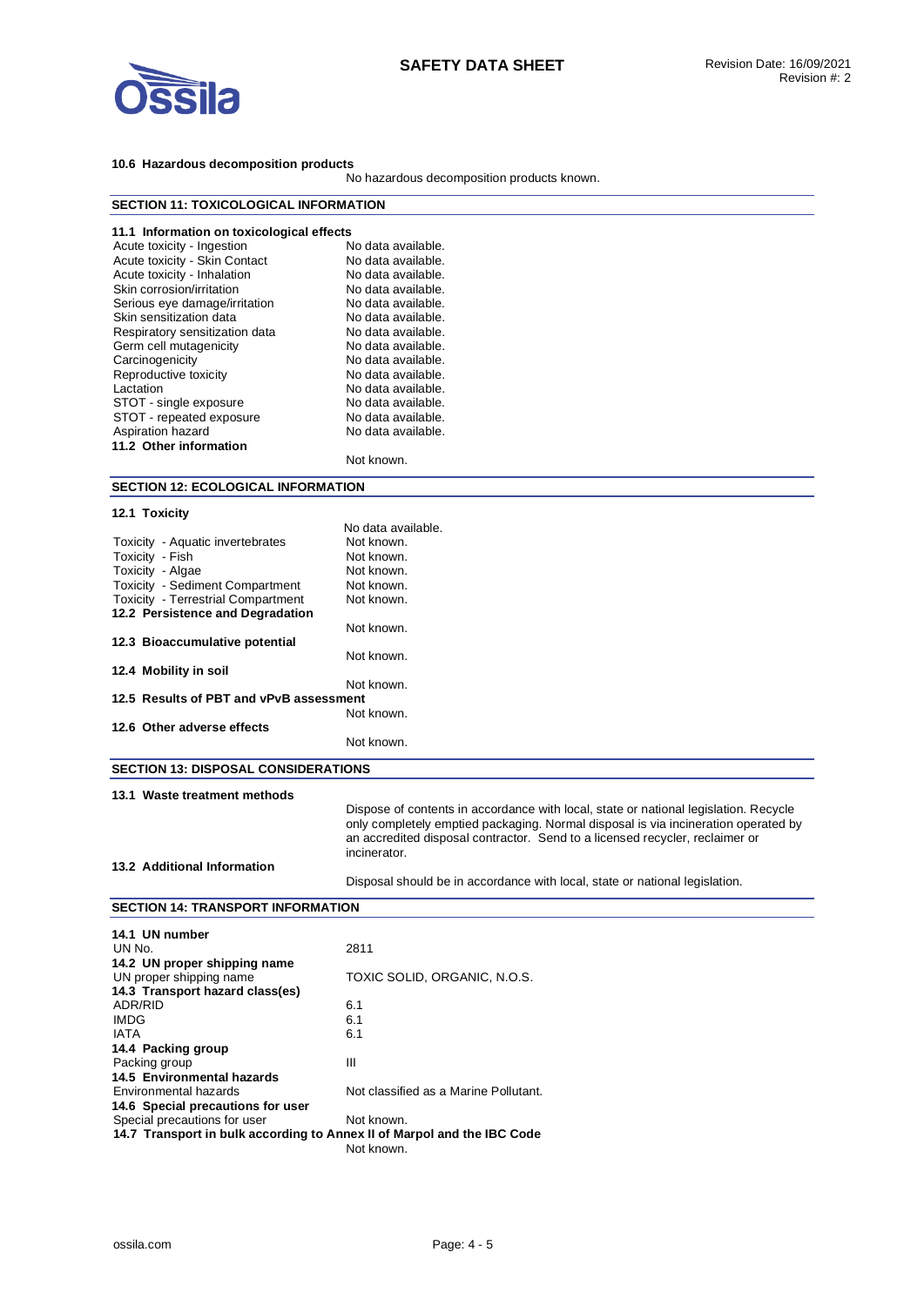

## **10.6 Hazardous decomposition products**

No hazardous decomposition products known.

| <b>SECTION 11: TOXICOLOGICAL INFORMATION</b>                            |                                                                                      |
|-------------------------------------------------------------------------|--------------------------------------------------------------------------------------|
| 11.1 Information on toxicological effects                               |                                                                                      |
| Acute toxicity - Ingestion                                              | No data available.                                                                   |
| Acute toxicity - Skin Contact                                           | No data available.                                                                   |
| Acute toxicity - Inhalation                                             | No data available.                                                                   |
| Skin corrosion/irritation                                               | No data available.                                                                   |
| Serious eye damage/irritation                                           | No data available.                                                                   |
| Skin sensitization data                                                 | No data available.                                                                   |
| Respiratory sensitization data                                          | No data available.                                                                   |
| Germ cell mutagenicity                                                  | No data available.                                                                   |
| Carcinogenicity                                                         | No data available.                                                                   |
| Reproductive toxicity                                                   | No data available.                                                                   |
| Lactation                                                               | No data available.                                                                   |
| STOT - single exposure                                                  | No data available.                                                                   |
| STOT - repeated exposure                                                | No data available.                                                                   |
| Aspiration hazard                                                       | No data available.                                                                   |
| 11.2 Other information                                                  |                                                                                      |
|                                                                         | Not known.                                                                           |
| <b>SECTION 12: ECOLOGICAL INFORMATION</b>                               |                                                                                      |
|                                                                         |                                                                                      |
| 12.1 Toxicity                                                           | No data available.                                                                   |
| Toxicity - Aquatic invertebrates                                        | Not known.                                                                           |
| Toxicity - Fish                                                         | Not known.                                                                           |
| Toxicity - Algae                                                        | Not known.                                                                           |
| Toxicity - Sediment Compartment                                         | Not known.                                                                           |
| <b>Toxicity - Terrestrial Compartment</b>                               | Not known.                                                                           |
| 12.2 Persistence and Degradation                                        |                                                                                      |
|                                                                         | Not known.                                                                           |
| 12.3 Bioaccumulative potential                                          |                                                                                      |
|                                                                         | Not known.                                                                           |
| 12.4 Mobility in soil                                                   |                                                                                      |
|                                                                         | Not known.                                                                           |
| 12.5 Results of PBT and vPvB assessment                                 |                                                                                      |
|                                                                         | Not known.                                                                           |
| 12.6 Other adverse effects                                              | Not known.                                                                           |
|                                                                         |                                                                                      |
| <b>SECTION 13: DISPOSAL CONSIDERATIONS</b>                              |                                                                                      |
| 13.1 Waste treatment methods                                            |                                                                                      |
|                                                                         | Dispose of contents in accordance with local, state or national legislation. Recycle |
|                                                                         | only completely emptied packaging. Normal disposal is via incineration operated by   |
|                                                                         | an accredited disposal contractor. Send to a licensed recycler, reclaimer or         |
|                                                                         | incinerator.                                                                         |
| 13.2 Additional Information                                             |                                                                                      |
|                                                                         | Disposal should be in accordance with local, state or national legislation.          |
| <b>SECTION 14: TRANSPORT INFORMATION</b>                                |                                                                                      |
| 14.1 UN number                                                          |                                                                                      |
| UN No.                                                                  | 2811                                                                                 |
| 14.2 UN proper shipping name                                            |                                                                                      |
| UN proper shipping name                                                 | TOXIC SOLID, ORGANIC, N.O.S.                                                         |
| 14.3 Transport hazard class(es)                                         |                                                                                      |
| ADR/RID                                                                 | 6.1                                                                                  |
| <b>IMDG</b>                                                             | 6.1                                                                                  |
| <b>IATA</b>                                                             | 6.1                                                                                  |
| 14.4 Packing group                                                      |                                                                                      |
| Packing group                                                           | Ш                                                                                    |
| 14.5 Environmental hazards                                              |                                                                                      |
| <b>Environmental hazards</b>                                            | Not classified as a Marine Pollutant.                                                |
| 14.6 Special precautions for user                                       |                                                                                      |
| Special precautions for user                                            | Not known.                                                                           |
| 14.7 Transport in bulk according to Annex II of Marpol and the IBC Code |                                                                                      |
|                                                                         | Not known.                                                                           |